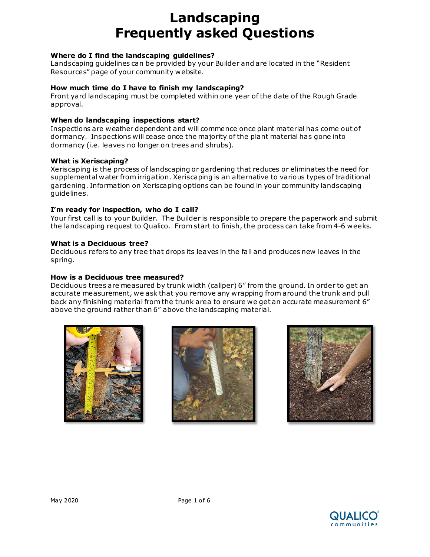### **Where do I find the landscaping guidelines?**

Landscaping guidelines can be provided by your Builder and are located in the "Resident Resources" page of your community website.

### **How much time do I have to finish my landscaping?**

Front yard landscaping must be completed within one year of the date of the Rough Grade approval.

#### **When do landscaping inspections start?**

Inspections are weather dependent and will commence once plant material has come out of dormancy. Inspections will cease once the majority of the plant material has gone into dormancy (i.e. leaves no longer on trees and shrubs).

### **What is Xeriscaping?**

Xeriscaping is the process of landscaping or gardening that reduces or eliminates the need for supplemental water from irrigation. Xeriscaping is an alternative to various types of traditional gardening. Information on Xeriscaping options can be found in your community landscaping guidelines.

### **I'm ready for inspection, who do I call?**

Your first call is to your Builder. The Builder is responsible to prepare the paperwork and submit the landscaping request to Qualico. From start to finish, the process can take from 4-6 weeks.

### **What is a Deciduous tree?**

Deciduous refers to any tree that drops its leaves in the fall and produces new leaves in the spring.

### **How is a Deciduous tree measured?**

Deciduous trees are measured by trunk width (caliper) 6" from the ground. In order to get an accurate measurement, we ask that you remove any wrapping from around the trunk and pull back any finishing material from the trunk area to ensure we get an accurate measurement 6" above the ground rather than 6" above the landscaping material.







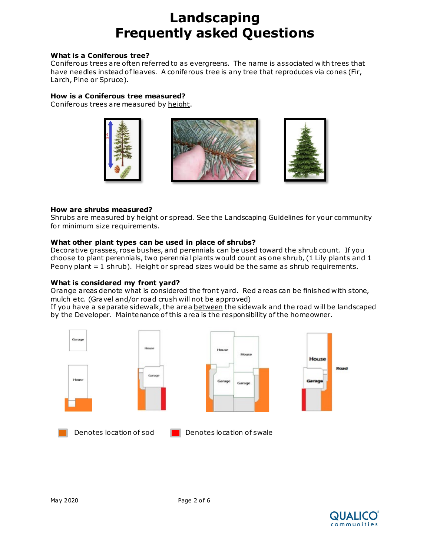### **What is a Coniferous tree?**

Coniferous trees are often referred to as evergreens. The name is associated with trees that have needles instead of leaves. A coniferous tree is any tree that reproduces via cones (Fir, Larch, Pine or Spruce).

### **How is a Coniferous tree measured?**

Coniferous trees are measured by height.







### **How are shrubs measured?**

Shrubs are measured by height or spread. See the Landscaping Guidelines for your community for minimum size requirements.

# **What other plant types can be used in place of shrubs?**

Decorative grasses, rose bushes, and perennials can be used toward the shrub count. If you choose to plant perennials, two perennial plants would count as one shrub, (1 Lily plants and 1 Peony plant = 1 shrub). Height or spread sizes would be the same as shrub requirements.

# **What is considered my front yard?**

Orange areas denote what is considered the front yard. Red areas can be finished with stone, mulch etc. (Gravel and/or road crush will not be approved)

If you have a separate sidewalk, the area between the sidewalk and the road will be landscaped by the Developer. Maintenance of this area is the responsibility of the homeowner.



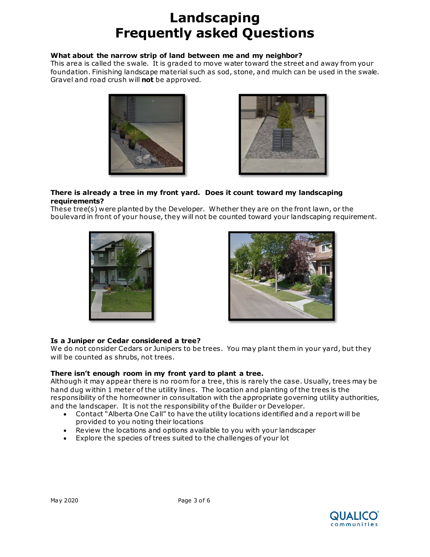### **What about the narrow strip of land between me and my neighbor?**

This area is called the swale. It is graded to move water toward the street and away from your foundation. Finishing landscape material such as sod, stone, and mulch can be used in the swale. Gravel and road crush will **not** be approved.





#### **There is already a tree in my front yard. Does it count toward my landscaping requirements?**

These tree(s) were planted by the Developer. Whether they are on the front lawn, or the boulevard in front of your house, they will not be counted toward your landscaping requirement.





# **Is a Juniper or Cedar considered a tree?**

We do not consider Cedars or Junipers to be trees. You may plant them in your yard, but they will be counted as shrubs, not trees.

# **There isn't enough room in my front yard to plant a tree.**

Although it may appear there is no room for a tree, this is rarely the case. Usually, trees may be hand dug within 1 meter of the utility lines. The location and planting of the trees is the responsibility of the homeowner in consultation with the appropriate governing utility authorities, and the landscaper. It is not the responsibility of the Builder or Developer.

- Contact "Alberta One Call" to have the utility locations identified and a report will be provided to you noting their locations
- Review the locations and options available to you with your landscaper
- Explore the species of trees suited to the challenges of your lot

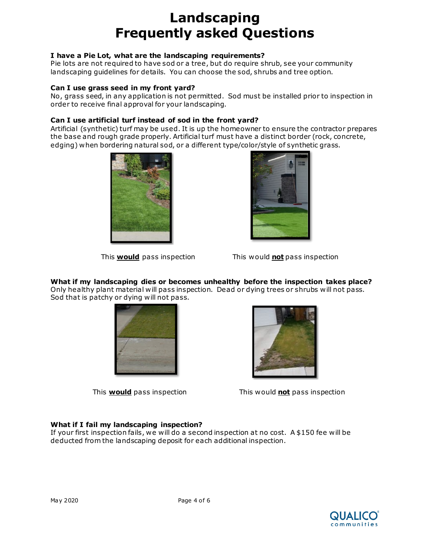### **I have a Pie Lot, what are the landscaping requirements?**

Pie lots are not required to have sod or a tree, but do require shrub, see your community landscaping guidelines for details. You can choose the sod, shrubs and tree option.

### **Can I use grass seed in my front yard?**

No, grass seed, in any application is not permitted. Sod must be installed prior to inspection in order to receive final approval for your landscaping.

### **Can I use artificial turf instead of sod in the front yard?**

Artificial (synthetic) turf may be used. It is up the homeowner to ensure the contractor prepares the base and rough grade properly. Artificial turf must have a distinct border (rock, concrete, edging) when bordering natural sod, or a different type/color/style of synthetic grass.





This **would** pass inspection This would **not** pass inspection

# **What if my landscaping dies or becomes unhealthy before the inspection takes place?**

Only healthy plant material will pass inspection. Dead or dying trees or shrubs will not pass. Sod that is patchy or dying will not pass.





This **would** pass inspection This would **not** pass inspection

# **What if I fail my landscaping inspection?**

If your first inspection fails, we will do a second inspection at no cost. A \$150 fee will be deducted from the landscaping deposit for each additional inspection.

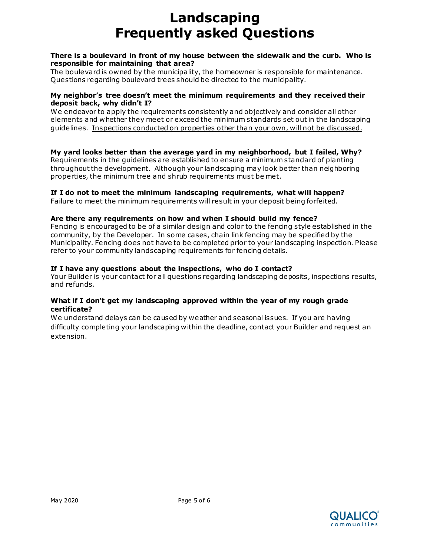### **There is a boulevard in front of my house between the sidewalk and the curb. Who is responsible for maintaining that area?**

The boulevard is owned by the municipality, the homeowner is responsible for maintenance. Questions regarding boulevard trees should be directed to the municipality.

### **My neighbor's tree doesn't meet the minimum requirements and they received their deposit back, why didn't I?**

We endeavor to apply the requirements consistently and objectively and consider all other elements and whether they meet or exceed the minimum standards set out in the landscaping guidelines. Inspections conducted on properties other than your own, will not be discussed.

#### **My yard looks better than the average yard in my neighborhood, but I failed, Why?**  Requirements in the guidelines are established to ensure a minimum standard of planting throughout the development. Although your landscaping may look better than neighboring properties, the minimum tree and shrub requirements must be met.

# **If I do not to meet the minimum landscaping requirements, what will happen?**

Failure to meet the minimum requirements will result in your deposit being forfeited.

### **Are there any requirements on how and when I should build my fence?**

Fencing is encouraged to be of a similar design and color to the fencing style established in the community, by the Developer. In some cases, chain link fencing may be specified by the Municipality. Fencing does not have to be completed prior to your landscaping inspection. Please refer to your community landscaping requirements for fencing details.

### **If I have any questions about the inspections, who do I contact?**

Your Builder is your contact for all questions regarding landscaping deposits, inspections results, and refunds.

### **What if I don't get my landscaping approved within the year of my rough grade certificate?**

We understand delays can be caused by weather and seasonal issues. If you are having difficulty completing your landscaping within the deadline, contact your Builder and request an extension.